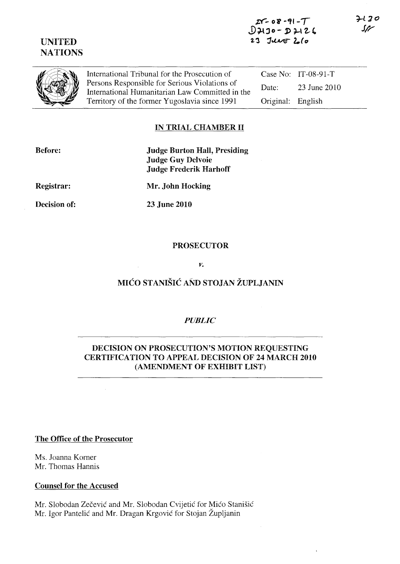# UNITED **NATIONS**

International Tribunal for the Prosecution of Persons Responsible for Serious Violations of International Humanitarian Law Committed in the Territory of the former Yugoslavia since 1991

Case No: IT-08-91-T Date: 23 June 2010 Original: English

### IN TRIAL CHAMBER II

| <b>Before:</b> |  |
|----------------|--|
|----------------|--|

Judge Burton Hall, Presiding Judge Guy Delvoie Judge Frederik Harhoff

Registrar:

Mr. John Hocking

Decision of:

23 June 2010

#### PROSECUTOR

*v.* 

# MIĆO STANIŠIĆ AND STOJAN ŽUPLJANIN

#### *PUBLIC*

### DECISION ON PROSECUTION'S MOTION REQUESTING CERTIFICATION TO APPEAL DECISION OF 24 MARCH 2010 (AMENDMENT OF EXHIBIT LIST)

#### The Office of the Prosecutor

Ms. Joanna Korner Mr. Thomas Hannis

#### Counsel for the Accused

Mr. Slobodan Zečević and Mr. Slobodan Cvijetić for Mićo Stanišić Mr. Igor Pantelić and Mr. Dragan Krgović for Stojan Župljanin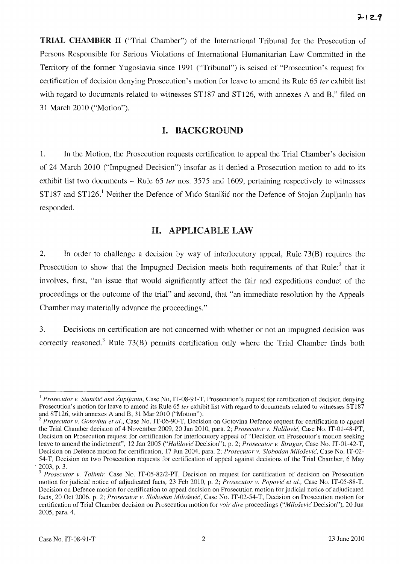TRIAL CHAMBER 11 ("Trial Chamber") of the International Tribunal for the Prosecution of Persons Responsible for Serious Violations of International Humanitarian Law Committed in the Territory of the former Yugoslavia since 1991 ("Tribunal") is seised of "Prosecution's request for certification of decision denying Prosecution's motion for leave to amend its Rule 65 *ter* exhibit list with regard to documents related to witnesses ST187 and ST126, with annexes A and B," filed on 31 March 2010 ("Motion").

#### I. BACKGROUND

1. In the Motion, the Prosecution requests certification to appeal the Trial Chamber's decision of 24 March 2010 ("Impugned Decision") insofar as it denied a Prosecution motion to add to its exhibit list two documents – Rule 65 *ter* nos. 3575 and 1609, pertaining respectively to witnesses ST187 and ST126.<sup>1</sup> Neither the Defence of Mico Stanišic nor the Defence of Stojan Župljanin has responded.

#### H. APPLICABLE LAW

2. In order to challenge a decision by way of interlocutory appeal, Rule 73(B) requires the Prosecution to show that the Impugned Decision meets both requirements of that Rule: $2$  that it involves, first, "an issue that would significantly affect the fair and expeditious conduct of the proceedings or the outcome of the trial" and second, that "an immediate resolution by the Appeals Chamber may materially advance the proceedings."

3. Decisions on certification are not concerned with whether or not an impugned decision was correctly reasoned.<sup>3</sup> Rule 73(B) permits certification only where the Trial Chamber finds both

<sup>&</sup>lt;sup>1</sup> Prosecutor v. Stanišić and Župljanin, Case No, IT-08-91-T, Prosecution's request for certification of decision denying Prosecution's motion for leave to amend its Rule 65 *ter* exhibit list with regard to documents related to witnesses ST187 and ST126, with annexes A and B, 31 Mar 2010 ("Motion").

<sup>2</sup>*Prosecutor v. Gotovina et al.,* Case No. IT-06-90-T, Decision on Gotovina Defence request for certification to appeal the Trial Chamber decision of 4 November 2009,20 Jan 2010, para. 2; *Prosecutor v. Halilovic,* Case No. IT-01-4S-PT, Decision on Prosecution request for certification for interlocutory appeal of "Decision on Prosecutor's motion seeking leave to amend the indictment", 12 Jan 2005 *("Halilovic* Decision"), p. 2; *Prosecutor v. Strugar,* Case No. IT-01-42-T, Decision on Defence motion for certification, 17 Jun 2004, para. 2; *Prosecutor* v. *Slohodan Milo§evic,* Case No. IT-02- 54-T, Decision on two Prosecution requests for certification of appeal against decisions of the Trial Chamber, 6 May . 2003, p. 3.

*<sup>3</sup> Prosecutor* v. *Tolimir,* Case No. IT-05-S2/2-PT, Decision on request for certification of decision on Prosecution motion for judicial notice of adjudicated facts, 23 Feb 20lO, p. 2; *Prosecutor v. Popovic' et a!.,* Case No. IT-05-SS-T, Decision on Defence motion for certification to appeal decision on Prosecution motion for judicial notice of adjudicated facts, 20 Oct 2006, p. 2; *Prosecutor v. Slobodan Milošević*, Case No. IT-02-54-T, Decision on Prosecution motion for certification of Trial Chamber decision on Prosecution motion for *voir dire* proceedings *("Milo§evic* Decision"), 20 Jun 2005, para. 4.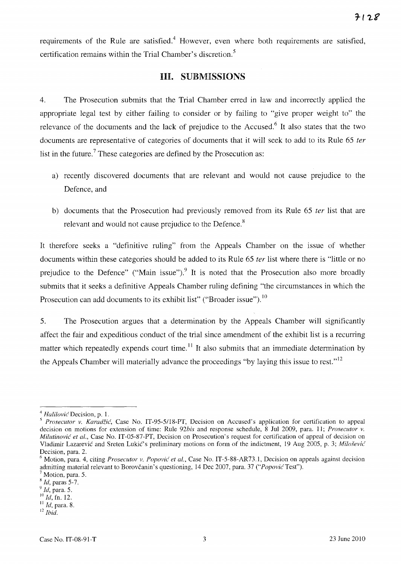requirements of the Rule are satisfied.<sup>4</sup> However, even where both requirements are satisfied, certification remains within the Trial Chamber's discretion. <sup>5</sup>

### **HI. SUBMISSIONS**

4. The Prosecution submits that the Trial Chamber erred in law and incorrectly applied the appropriate legal test by either failing to consider or by failing to "give proper weight to" the relevance of the documents and the lack of prejudice to the Accused.<sup>6</sup> It also states that the two documents are representative of categories of documents that it will seek to add to its Rule 65 *ter*  list in the future.<sup>7</sup> These categories are defined by the Prosecution as:

- a) recently discovered documents that are relevant and would not cause prejudice to the Defence, and
- b) documents that the Prosecution had previously removed from its Rule 65 *ter* list that are relevant and would not cause prejudice to the Defence.<sup>8</sup>

It therefore seeks a "definitive ruling" from the Appeals Chamber on the issue of whether documents within these categories should be added to its Rule 65 *ter* list where there is "little or no prejudice to the Defence" ("Main issue").<sup>9</sup> It is noted that the Prosecution also more broadly submits that it seeks a definitive Appeals Chamber ruling defining "the circumstances in which the Prosecution can add documents to its exhibit list" ("Broader issue").<sup>10</sup>

5. The Prosecution argues that a determination by the Appeals Chamber will significantly affect the fair and expeditious conduct of the trial since amendment of the exhibit list is a recurring matter which repeatedly expends court time.<sup>11</sup> It also submits that an immediate determination by the Appeals Chamber will materially advance the proceedings "by laying this issue to rest."<sup>12</sup>

*<sup>4</sup> Halilovic* Decision, p. 1.

<sup>S</sup>*Prosecutor v. Karadzic,* Case No. IT-95-5/1S-PT, Decision on Accused's application for certification to appeal decision on motions for extension of time: Rule 92*bis* and response schedule, 8 Jul 2009, para. 11; *Prosecutor v. Milutinović et al., Case No. IT-05-87-PT, Decision on Prosecution's request for certification of appeal of decision on* Vladimir Lazarevic and Sreten Lukic's preliminary motions on form of the indictment, 19 Aug 2005, p. 3; *Milo§evic*  Decision, para. 2.

<sup>&</sup>lt;sup>6</sup> Motion, para. 4, citing *Prosecutor v. Popović et al.*, Case No. IT-5-88-AR73.1, Decision on appeals against decision admitting material relevant to Borovčanin's questioning, 14 Dec 2007, para. 37 *("Popović* Test").

 $'$  Motion, para. 5.

<sup>8</sup>*Id,* paras 5-7.

*Y Id,* para. 5.

<sup>10</sup>*Id,* fn. 12.

<sup>11</sup>*Id,* para. S.

<sup>12</sup>*Ihid.*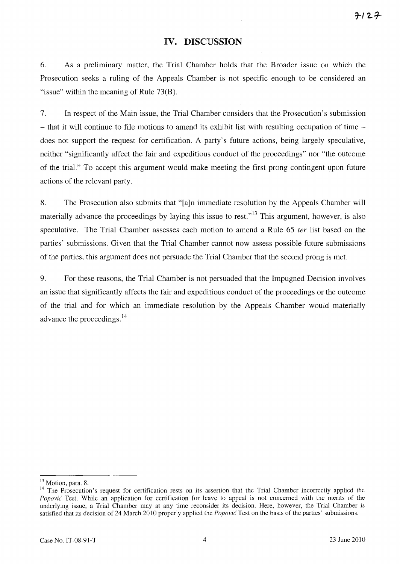#### **IV. DISCUSSION**

6. As a preliminary matter, the Trial Chamber holds that the Broader issue on which the Prosecution seeks a ruling of the Appeals Chamber is not specific enough to be considered an "issue" within the meaning of Rule 73(B).

7. **In** respect of the Main issue, the Trial Chamber considers that the Prosecution's submission  $-$  that it will continue to file motions to amend its exhibit list with resulting occupation of time  $$ does not support the request for certification. A party's future actions, being largely speculative, neither "significantly affect the fair and expeditious conduct of the proceedings" nor "the outcome of the trial." To accept this argument would make meeting the first prong contingent upon future actions of the relevant party.

8. The Prosecution also submits that "[a]n immediate resolution by the Appeals Chamber will materially advance the proceedings by laying this issue to rest.<sup> $,13$ </sup> This argument, however, is also speculative. The Trial Chamber assesses each motion to amend a Rule 65 *ter* list based on the parties' submissions. Given that the Trial Chamber cannot now assess possible future submissions of the parties, this argument does not persuade the Trial Chamber that the second prong is met.

9. For these reasons, the Trial Chamber is not persuaded that the Impugned Decision involves an issue that significantly affects the fair and expeditious conduct of the proceedings or the outcome of the trial and for which an immediate resolution by the Appeals Chamber would materially advance the proceedings. <sup>14</sup>

<sup>&</sup>lt;sup>13</sup> Motion, para. 8.

<sup>&</sup>lt;sup>14</sup> The Prosecution's request for certification rests on its assertion that the Trial Chamber incorrectly applied the *Popović* Test. While an application for certification for leave to appeal is not concerned with the merits of the underlying issue, a Trial Chamber may at any time reconsider its decision. Here, however, the Trial Chamber is satisfied that its decision of 24 March 2010 properly applied the *Popovic'* Test on the basis of the parties' submissions.